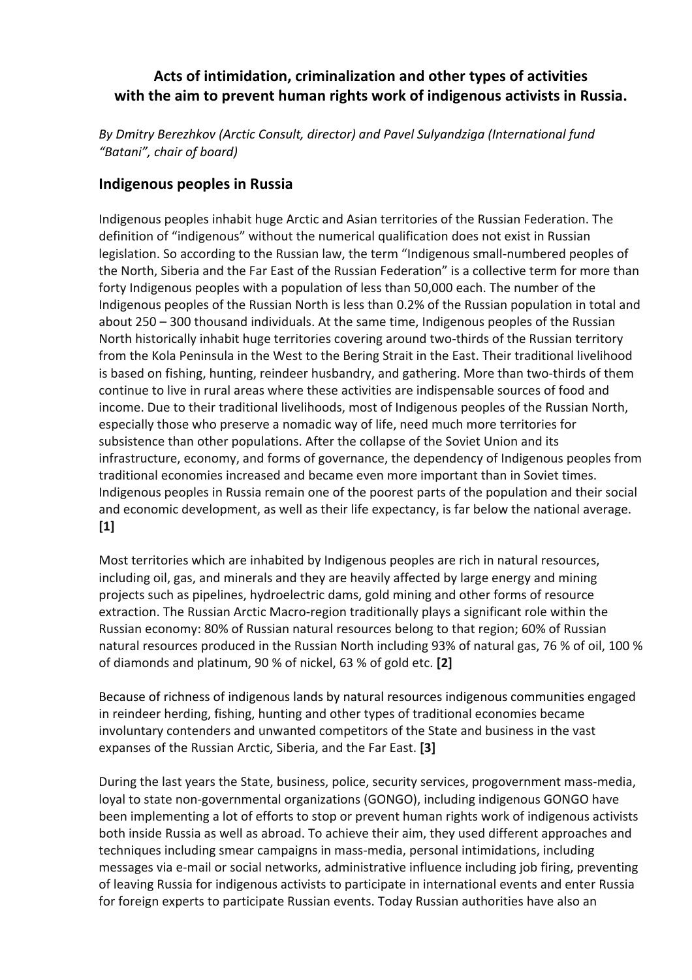### **Acts of intimidation, criminalization and other types of activities with the aim to prevent human rights work of indigenous activists in Russia.**

*By Dmitry Berezhkov (Arctic Consult, director) and Pavel Sulyandziga (International fund "Batani", chair of board)*

#### **Indigenous peoples in Russia**

Indigenous peoples inhabit huge Arctic and Asian territories of the Russian Federation. The definition of "indigenous" without the numerical qualification does not exist in Russian legislation. So according to the Russian law, the term "Indigenous small-numbered peoples of the North, Siberia and the Far East of the Russian Federation" is a collective term for more than forty Indigenous peoples with a population of less than 50,000 each. The number of the Indigenous peoples of the Russian North is less than 0.2% of the Russian population in total and about 250 – 300 thousand individuals. At the same time, Indigenous peoples of the Russian North historically inhabit huge territories covering around two-thirds of the Russian territory from the Kola Peninsula in the West to the Bering Strait in the East. Their traditional livelihood is based on fishing, hunting, reindeer husbandry, and gathering. More than two-thirds of them continue to live in rural areas where these activities are indispensable sources of food and income. Due to their traditional livelihoods, most of Indigenous peoples of the Russian North, especially those who preserve a nomadic way of life, need much more territories for subsistence than other populations. After the collapse of the Soviet Union and its infrastructure, economy, and forms of governance, the dependency of Indigenous peoples from traditional economies increased and became even more important than in Soviet times. Indigenous peoples in Russia remain one of the poorest parts of the population and their social and economic development, as well as their life expectancy, is far below the national average. **[1]**

Most territories which are inhabited by Indigenous peoples are rich in natural resources, including oil, gas, and minerals and they are heavily affected by large energy and mining projects such as pipelines, hydroelectric dams, gold mining and other forms of resource extraction. The Russian Arctic Macro-region traditionally plays a significant role within the Russian economy: 80% of Russian natural resources belong to that region; 60% of Russian natural resources produced in the Russian North including 93% of natural gas, 76 % of oil, 100 % of diamonds and platinum, 90 % of nickel, 63 % of gold etc. **[2]** 

Because of richness of indigenous lands by natural resources indigenous communities engaged in reindeer herding, fishing, hunting and other types of traditional economies became involuntary contenders and unwanted competitors of the State and business in the vast expanses of the Russian Arctic, Siberia, and the Far East. **[3]**

During the last years the State, business, police, security services, progovernment mass-media, loyal to state non-governmental organizations (GONGO), including indigenous GONGO have been implementing a lot of efforts to stop or prevent human rights work of indigenous activists both inside Russia as well as abroad. To achieve their aim, they used different approaches and techniques including smear campaigns in mass-media, personal intimidations, including messages via e-mail or social networks, administrative influence including job firing, preventing of leaving Russia for indigenous activists to participate in international events and enter Russia for foreign experts to participate Russian events. Today Russian authorities have also an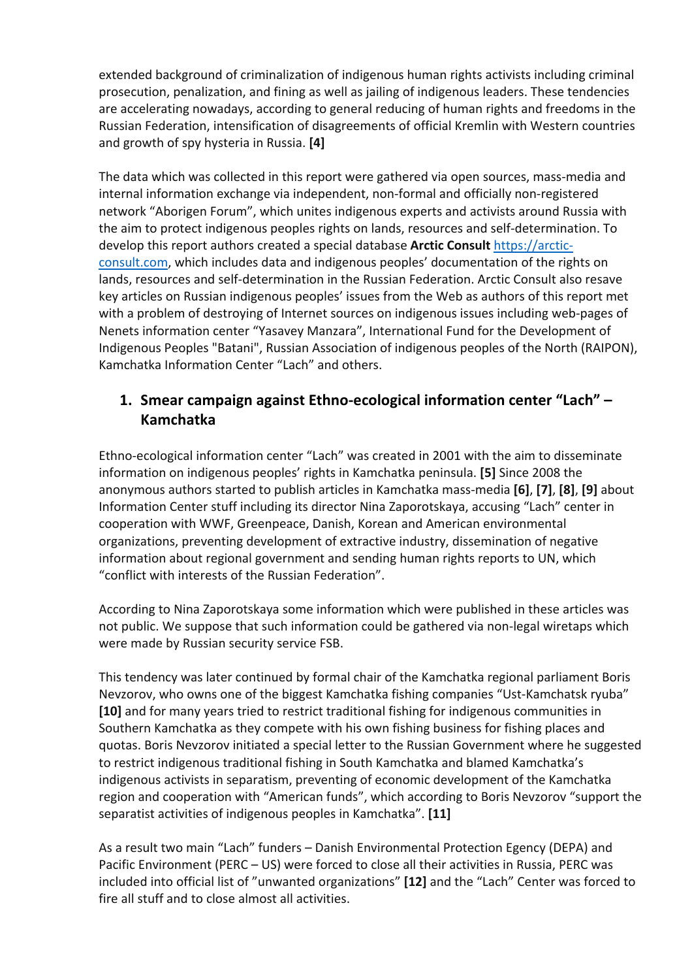extended background of criminalization of indigenous human rights activists including criminal prosecution, penalization, and fining as well as jailing of indigenous leaders. These tendencies are accelerating nowadays, according to general reducing of human rights and freedoms in the Russian Federation, intensification of disagreements of official Kremlin with Western countries and growth of spy hysteria in Russia. **[4]**

The data which was collected in this report were gathered via open sources, mass-media and internal information exchange via independent, non-formal and officially non-registered network "Aborigen Forum", which unites indigenous experts and activists around Russia with the aim to protect indigenous peoples rights on lands, resources and self-determination. To develop this report authors created a special database **Arctic Consult** https://arcticconsult.com, which includes data and indigenous peoples' documentation of the rights on lands, resources and self-determination in the Russian Federation. Arctic Consult also resave key articles on Russian indigenous peoples' issues from the Web as authors of this report met with a problem of destroying of Internet sources on indigenous issues including web-pages of Nenets information center "Yasavey Manzara", International Fund for the Development of Indigenous Peoples "Batani", Russian Association of indigenous peoples of the North (RAIPON), Kamchatka Information Center "Lach" and others.

### **1. Smear campaign against Ethno-ecological information center "Lach" – Kamchatka**

Ethno-ecological information center "Lach" was created in 2001 with the aim to disseminate information on indigenous peoples' rights in Kamchatka peninsula. **[5]** Since 2008 the anonymous authors started to publish articles in Kamchatka mass-media **[6]**, **[7]**, **[8]**, **[9]** about Information Center stuff including its director Nina Zaporotskaya, accusing "Lach" center in cooperation with WWF, Greenpeace, Danish, Korean and American environmental organizations, preventing development of extractive industry, dissemination of negative information about regional government and sending human rights reports to UN, which "conflict with interests of the Russian Federation".

According to Nina Zaporotskaya some information which were published in these articles was not public. We suppose that such information could be gathered via non-legal wiretaps which were made by Russian security service FSB.

This tendency was later continued by formal chair of the Kamchatka regional parliament Boris Nevzorov, who owns one of the biggest Kamchatka fishing companies "Ust-Kamchatsk ryuba" **[10]** and for many years tried to restrict traditional fishing for indigenous communities in Southern Kamchatka as they compete with his own fishing business for fishing places and quotas. Boris Nevzorov initiated a special letter to the Russian Government where he suggested to restrict indigenous traditional fishing in South Kamchatka and blamed Kamchatka's indigenous activists in separatism, preventing of economic development of the Kamchatka region and cooperation with "American funds", which according to Boris Nevzorov "support the separatist activities of indigenous peoples in Kamchatka". **[11]**

As a result two main "Lach" funders – Danish Environmental Protection Egency (DEPA) and Pacific Environment (PERC – US) were forced to close all their activities in Russia, PERC was included into official list of "unwanted organizations" **[12]** and the "Lach" Center was forced to fire all stuff and to close almost all activities.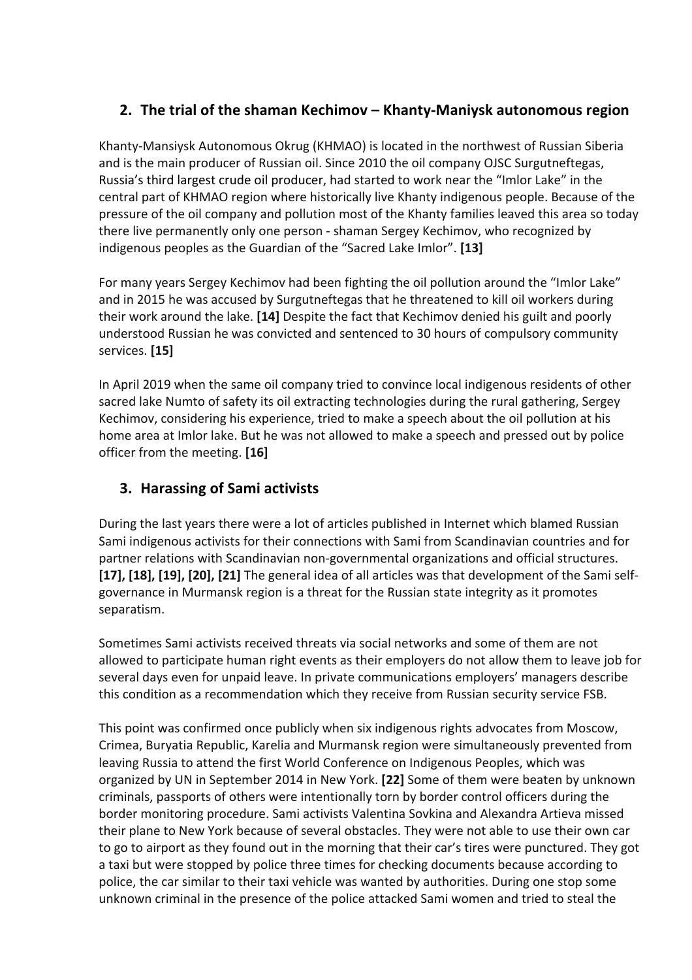## **2. The trial of the shaman Kechimov – Khanty-Maniysk autonomous region**

Khanty-Mansiysk Autonomous Okrug (KHMAO) is located in the northwest of Russian Siberia and is the main producer of Russian oil. Since 2010 the oil company OJSC Surgutneftegas, Russia's third largest crude oil producer, had started to work near the "Imlor Lake" in the central part of KHMAO region where historically live Khanty indigenous people. Because of the pressure of the oil company and pollution most of the Khanty families leaved this area so today there live permanently only one person - shaman Sergey Kechimov, who recognized by indigenous peoples as the Guardian of the "Sacred Lake Imlor". **[13]**

For many years Sergey Kechimov had been fighting the oil pollution around the "Imlor Lake" and in 2015 he was accused by Surgutneftegas that he threatened to kill oil workers during their work around the lake. **[14]** Despite the fact that Kechimov denied his guilt and poorly understood Russian he was convicted and sentenced to 30 hours of compulsory community services. **[15]**

In April 2019 when the same oil company tried to convince local indigenous residents of other sacred lake Numto of safety its oil extracting technologies during the rural gathering, Sergey Kechimov, considering his experience, tried to make a speech about the oil pollution at his home area at Imlor lake. But he was not allowed to make a speech and pressed out by police officer from the meeting. **[16]**

# **3. Harassing of Sami activists**

During the last years there were a lot of articles published in Internet which blamed Russian Sami indigenous activists for their connections with Sami from Scandinavian countries and for partner relations with Scandinavian non-governmental organizations and official structures. **[17], [18], [19], [20], [21]** The general idea of all articles was that development of the Sami selfgovernance in Murmansk region is a threat for the Russian state integrity as it promotes separatism.

Sometimes Sami activists received threats via social networks and some of them are not allowed to participate human right events as their employers do not allow them to leave job for several days even for unpaid leave. In private communications employers' managers describe this condition as a recommendation which they receive from Russian security service FSB.

This point was confirmed once publicly when six indigenous rights advocates from Moscow, Crimea, Buryatia Republic, Karelia and Murmansk region were simultaneously prevented from leaving Russia to attend the first World Conference on Indigenous Peoples, which was organized by UN in September 2014 in New York. **[22]** Some of them were beaten by unknown criminals, passports of others were intentionally torn by border control officers during the border monitoring procedure. Sami activists Valentina Sovkina and Alexandra Artieva missed their plane to New York because of several obstacles. They were not able to use their own car to go to airport as they found out in the morning that their car's tires were punctured. They got a taxi but were stopped by police three times for checking documents because according to police, the car similar to their taxi vehicle was wanted by authorities. During one stop some unknown criminal in the presence of the police attacked Sami women and tried to steal the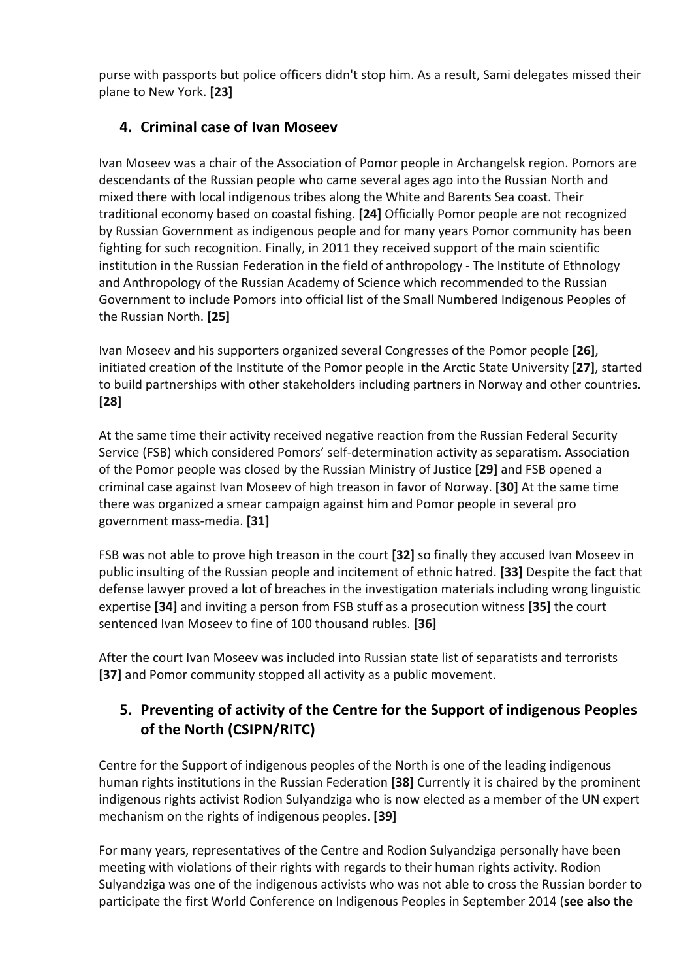purse with passports but police officers didn't stop him. As a result, Sami delegates missed their plane to New York. **[23]**

## **4. Criminal case of Ivan Moseev**

Ivan Moseev was a chair of the Association of Pomor people in Archangelsk region. Pomors are descendants of the Russian people who came several ages ago into the Russian North and mixed there with local indigenous tribes along the White and Barents Sea coast. Their traditional economy based on coastal fishing. **[24]** Officially Pomor people are not recognized by Russian Government as indigenous people and for many years Pomor community has been fighting for such recognition. Finally, in 2011 they received support of the main scientific institution in the Russian Federation in the field of anthropology - The Institute of Ethnology and Anthropology of the Russian Academy of Science which recommended to the Russian Government to include Pomors into official list of the Small Numbered Indigenous Peoples of the Russian North. **[25]**

Ivan Moseev and his supporters organized several Congresses of the Pomor people **[26]**, initiated creation of the Institute of the Pomor people in the Arctic State University **[27]**, started to build partnerships with other stakeholders including partners in Norway and other countries. **[28]**

At the same time their activity received negative reaction from the Russian Federal Security Service (FSB) which considered Pomors' self-determination activity as separatism. Association of the Pomor people was closed by the Russian Ministry of Justice **[29]** and FSB opened a criminal case against Ivan Moseev of high treason in favor of Norway. **[30]** At the same time there was organized a smear campaign against him and Pomor people in several pro government mass-media. **[31]**

FSB was not able to prove high treason in the court **[32]** so finally they accused Ivan Moseev in public insulting of the Russian people and incitement of ethnic hatred. **[33]** Despite the fact that defense lawyer proved a lot of breaches in the investigation materials including wrong linguistic expertise **[34]** and inviting a person from FSB stuff as a prosecution witness **[35]** the court sentenced Ivan Moseev to fine of 100 thousand rubles. **[36]**

After the court Ivan Moseev was included into Russian state list of separatists and terrorists **[37]** and Pomor community stopped all activity as a public movement.

# **5. Preventing of activity of the Centre for the Support of indigenous Peoples of the North (CSIPN/RITC)**

Centre for the Support of indigenous peoples of the North is one of the leading indigenous human rights institutions in the Russian Federation **[38]** Currently it is chaired by the prominent indigenous rights activist Rodion Sulyandziga who is now elected as a member of the UN expert mechanism on the rights of indigenous peoples. **[39]** 

For many years, representatives of the Centre and Rodion Sulyandziga personally have been meeting with violations of their rights with regards to their human rights activity. Rodion Sulyandziga was one of the indigenous activists who was not able to cross the Russian border to participate the first World Conference on Indigenous Peoples in September 2014 (**see also the**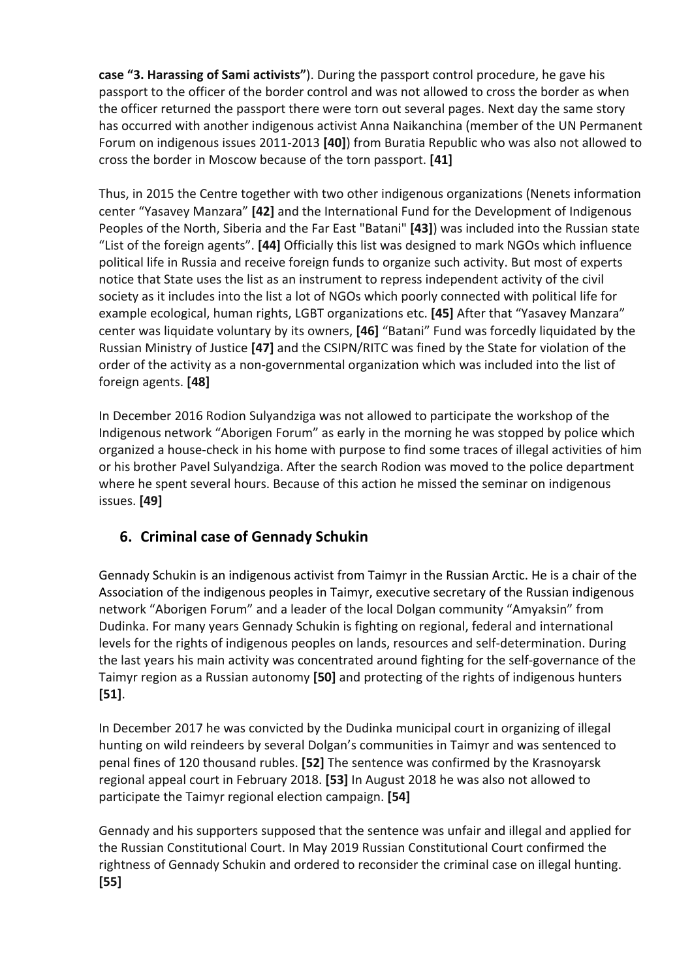**case "3. Harassing of Sami activists"**). During the passport control procedure, he gave his passport to the officer of the border control and was not allowed to cross the border as when the officer returned the passport there were torn out several pages. Next day the same story has occurred with another indigenous activist Anna Naikanchina (member of the UN Permanent Forum on indigenous issues 2011-2013 **[40]**) from Buratia Republic who was also not allowed to cross the border in Moscow because of the torn passport. **[41]**

Thus, in 2015 the Centre together with two other indigenous organizations (Nenets information center "Yasavey Manzara" **[42]** and the International Fund for the Development of Indigenous Peoples of the North, Siberia and the Far East "Batani" **[43]**) was included into the Russian state "List of the foreign agents". **[44]** Officially this list was designed to mark NGOs which influence political life in Russia and receive foreign funds to organize such activity. But most of experts notice that State uses the list as an instrument to repress independent activity of the civil society as it includes into the list a lot of NGOs which poorly connected with political life for example ecological, human rights, LGBT organizations etc. **[45]** After that "Yasavey Manzara" center was liquidate voluntary by its owners, **[46]** "Batani" Fund was forcedly liquidated by the Russian Ministry of Justice **[47]** and the CSIPN/RITC was fined by the State for violation of the order of the activity as a non-governmental organization which was included into the list of foreign agents. **[48]**

In December 2016 Rodion Sulyandziga was not allowed to participate the workshop of the Indigenous network "Aborigen Forum" as early in the morning he was stopped by police which organized a house-check in his home with purpose to find some traces of illegal activities of him or his brother Pavel Sulyandziga. After the search Rodion was moved to the police department where he spent several hours. Because of this action he missed the seminar on indigenous issues. **[49]**

# **6. Criminal case of Gennady Schukin**

Gennady Schukin is an indigenous activist from Taimyr in the Russian Arctic. He is a chair of the Association of the indigenous peoples in Taimyr, executive secretary of the Russian indigenous network "Aborigen Forum" and a leader of the local Dolgan community "Amyaksin" from Dudinka. For many years Gennady Schukin is fighting on regional, federal and international levels for the rights of indigenous peoples on lands, resources and self-determination. During the last years his main activity was concentrated around fighting for the self-governance of the Taimyr region as a Russian autonomy **[50]** and protecting of the rights of indigenous hunters **[51]**.

In December 2017 he was convicted by the Dudinka municipal court in organizing of illegal hunting on wild reindeers by several Dolgan's communities in Taimyr and was sentenced to penal fines of 120 thousand rubles. **[52]** The sentence was confirmed by the Krasnoyarsk regional appeal court in February 2018. **[53]** In August 2018 he was also not allowed to participate the Taimyr regional election campaign. **[54]**

Gennady and his supporters supposed that the sentence was unfair and illegal and applied for the Russian Constitutional Court. In May 2019 Russian Constitutional Court confirmed the rightness of Gennady Schukin and ordered to reconsider the criminal case on illegal hunting. **[55]**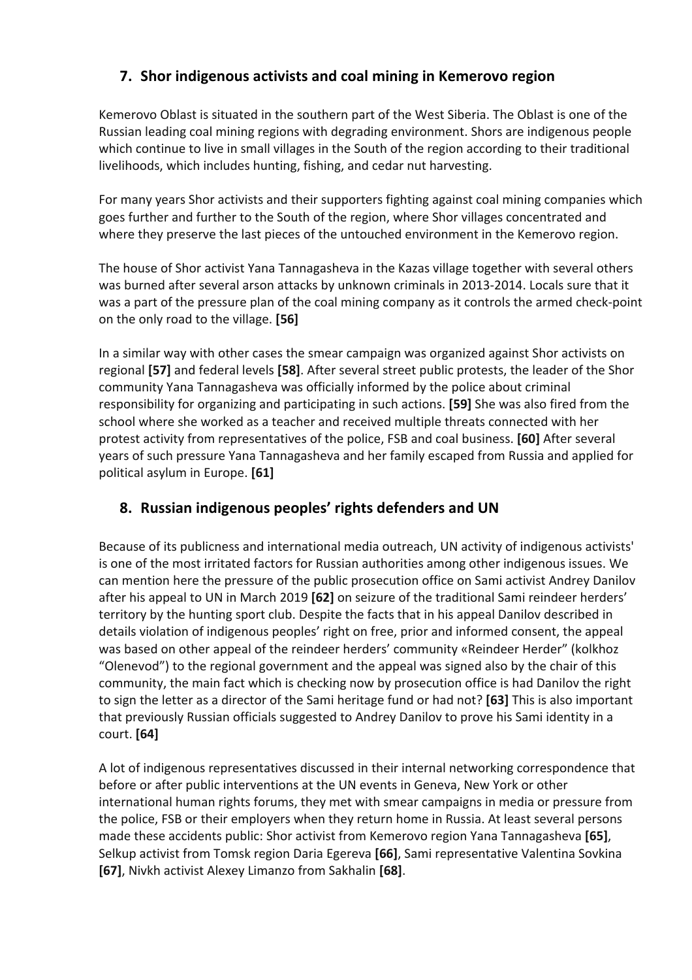# **7. Shor indigenous activists and coal mining in Kemerovo region**

Kemerovo Oblast is situated in the southern part of the West Siberia. The Oblast is one of the Russian leading coal mining regions with degrading environment. Shors are indigenous people which continue to live in small villages in the South of the region according to their traditional livelihoods, which includes hunting, fishing, and cedar nut harvesting.

For many years Shor activists and their supporters fighting against coal mining companies which goes further and further to the South of the region, where Shor villages concentrated and where they preserve the last pieces of the untouched environment in the Kemerovo region.

The house of Shor activist Yana Tannagasheva in the Kazas village together with several others was burned after several arson attacks by unknown criminals in 2013-2014. Locals sure that it was a part of the pressure plan of the coal mining company as it controls the armed check-point on the only road to the village. **[56]**

In a similar way with other cases the smear campaign was organized against Shor activists on regional **[57]** and federal levels **[58]**. After several street public protests, the leader of the Shor community Yana Tannagasheva was officially informed by the police about criminal responsibility for organizing and participating in such actions. **[59]** She was also fired from the school where she worked as a teacher and received multiple threats connected with her protest activity from representatives of the police, FSB and coal business. **[60]** After several years of such pressure Yana Tannagasheva and her family escaped from Russia and applied for political asylum in Europe. **[61]**

### **8. Russian indigenous peoples' rights defenders and UN**

Because of its publicness and international media outreach, UN activity of indigenous activists' is one of the most irritated factors for Russian authorities among other indigenous issues. We can mention here the pressure of the public prosecution office on Sami activist Andrey Danilov after his appeal to UN in March 2019 **[62]** on seizure of the traditional Sami reindeer herders' territory by the hunting sport club. Despite the facts that in his appeal Danilov described in details violation of indigenous peoples' right on free, prior and informed consent, the appeal was based on other appeal of the reindeer herders' community «Reindeer Herder" (kolkhoz "Olenevod") to the regional government and the appeal was signed also by the chair of this community, the main fact which is checking now by prosecution office is had Danilov the right to sign the letter as a director of the Sami heritage fund or had not? **[63]** This is also important that previously Russian officials suggested to Andrey Danilov to prove his Sami identity in a court. **[64]**

A lot of indigenous representatives discussed in their internal networking correspondence that before or after public interventions at the UN events in Geneva, New York or other international human rights forums, they met with smear campaigns in media or pressure from the police, FSB or their employers when they return home in Russia. At least several persons made these accidents public: Shor activist from Kemerovo region Yana Tannagasheva **[65]**, Selkup activist from Tomsk region Daria Egereva **[66]**, Sami representative Valentina Sovkina **[67]**, Nivkh activist Alexey Limanzo from Sakhalin **[68]**.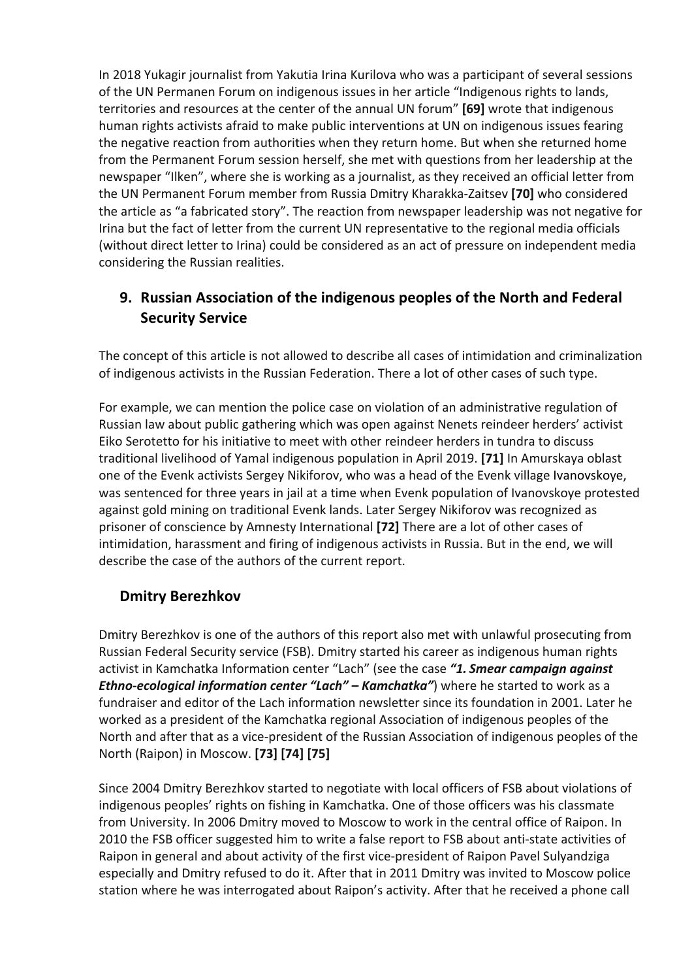In 2018 Yukagir journalist from Yakutia Irina Kurilova who was a participant of several sessions of the UN Permanen Forum on indigenous issues in her article "Indigenous rights to lands, territories and resources at the center of the annual UN forum" **[69]** wrote that indigenous human rights activists afraid to make public interventions at UN on indigenous issues fearing the negative reaction from authorities when they return home. But when she returned home from the Permanent Forum session herself, she met with questions from her leadership at the newspaper "Ilken", where she is working as a journalist, as they received an official letter from the UN Permanent Forum member from Russia Dmitry Kharakka-Zaitsev **[70]** who considered the article as "a fabricated story". The reaction from newspaper leadership was not negative for Irina but the fact of letter from the current UN representative to the regional media officials (without direct letter to Irina) could be considered as an act of pressure on independent media considering the Russian realities.

# **9. Russian Association of the indigenous peoples of the North and Federal Security Service**

The concept of this article is not allowed to describe all cases of intimidation and criminalization of indigenous activists in the Russian Federation. There a lot of other cases of such type.

For example, we can mention the police case on violation of an administrative regulation of Russian law about public gathering which was open against Nenets reindeer herders' activist Eiko Serotetto for his initiative to meet with other reindeer herders in tundra to discuss traditional livelihood of Yamal indigenous population in April 2019. **[71]** In Amurskaya oblast one of the Evenk activists Sergey Nikiforov, who was a head of the Evenk village Ivanovskoye, was sentenced for three years in jail at a time when Evenk population of Ivanovskoye protested against gold mining on traditional Evenk lands. Later Sergey Nikiforov was recognized as prisoner of conscience by Amnesty International **[72]** There are a lot of other cases of intimidation, harassment and firing of indigenous activists in Russia. But in the end, we will describe the case of the authors of the current report.

### **Dmitry Berezhkov**

Dmitry Berezhkov is one of the authors of this report also met with unlawful prosecuting from Russian Federal Security service (FSB). Dmitry started his career as indigenous human rights activist in Kamchatka Information center "Lach" (see the case *"1. Smear campaign against Ethno-ecological information center "Lach" – Kamchatka"*) where he started to work as a fundraiser and editor of the Lach information newsletter since its foundation in 2001. Later he worked as a president of the Kamchatka regional Association of indigenous peoples of the North and after that as a vice-president of the Russian Association of indigenous peoples of the North (Raipon) in Moscow. **[73] [74] [75]**

Since 2004 Dmitry Berezhkov started to negotiate with local officers of FSB about violations of indigenous peoples' rights on fishing in Kamchatka. One of those officers was his classmate from University. In 2006 Dmitry moved to Moscow to work in the central office of Raipon. In 2010 the FSB officer suggested him to write a false report to FSB about anti-state activities of Raipon in general and about activity of the first vice-president of Raipon Pavel Sulyandziga especially and Dmitry refused to do it. After that in 2011 Dmitry was invited to Moscow police station where he was interrogated about Raipon's activity. After that he received a phone call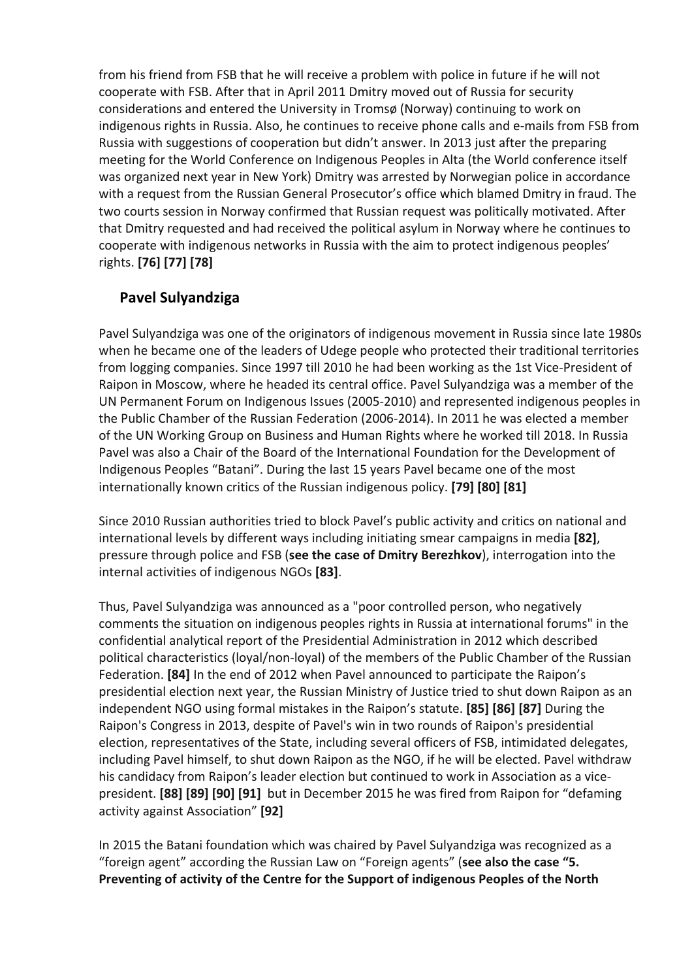from his friend from FSB that he will receive a problem with police in future if he will not cooperate with FSB. After that in April 2011 Dmitry moved out of Russia for security considerations and entered the University in Tromsø (Norway) continuing to work on indigenous rights in Russia. Also, he continues to receive phone calls and e-mails from FSB from Russia with suggestions of cooperation but didn't answer. In 2013 just after the preparing meeting for the World Conference on Indigenous Peoples in Alta (the World conference itself was organized next year in New York) Dmitry was arrested by Norwegian police in accordance with a request from the Russian General Prosecutor's office which blamed Dmitry in fraud. The two courts session in Norway confirmed that Russian request was politically motivated. After that Dmitry requested and had received the political asylum in Norway where he continues to cooperate with indigenous networks in Russia with the aim to protect indigenous peoples' rights. **[76] [77] [78]**

## **Pavel Sulyandziga**

Pavel Sulyandziga was one of the originators of indigenous movement in Russia since late 1980s when he became one of the leaders of Udege people who protected their traditional territories from logging companies. Since 1997 till 2010 he had been working as the 1st Vice-President of Raipon in Moscow, where he headed its central office. Pavel Sulyandziga was a member of the UN Permanent Forum on Indigenous Issues (2005-2010) and represented indigenous peoples in the Public Chamber of the Russian Federation (2006-2014). In 2011 he was elected a member of the UN Working Group on Business and Human Rights where he worked till 2018. In Russia Pavel was also a Chair of the Board of the International Foundation for the Development of Indigenous Peoples "Batani". During the last 15 years Pavel became one of the most internationally known critics of the Russian indigenous policy. **[79] [80] [81]**

Since 2010 Russian authorities tried to block Pavel's public activity and critics on national and international levels by different ways including initiating smear campaigns in media **[82]**, pressure through police and FSB (**see the case of Dmitry Berezhkov**), interrogation into the internal activities of indigenous NGOs **[83]**.

Thus, Pavel Sulyandziga was announced as a "poor controlled person, who negatively comments the situation on indigenous peoples rights in Russia at international forums" in the confidential analytical report of the Presidential Administration in 2012 which described political characteristics (loyal/non-loyal) of the members of the Public Chamber of the Russian Federation. **[84]** In the end of 2012 when Pavel announced to participate the Raipon's presidential election next year, the Russian Ministry of Justice tried to shut down Raipon as an independent NGO using formal mistakes in the Raipon's statute. **[85] [86] [87]** During the Raipon's Congress in 2013, despite of Pavel's win in two rounds of Raipon's presidential election, representatives of the State, including several officers of FSB, intimidated delegates, including Pavel himself, to shut down Raipon as the NGO, if he will be elected. Pavel withdraw his candidacy from Raipon's leader election but continued to work in Association as a vicepresident. **[88] [89] [90] [91]** but in December 2015 he was fired from Raipon for "defaming activity against Association" **[92]**

In 2015 the Batani foundation which was chaired by Pavel Sulyandziga was recognized as a "foreign agent" according the Russian Law on "Foreign agents" (**see also the case "5. Preventing of activity of the Centre for the Support of indigenous Peoples of the North**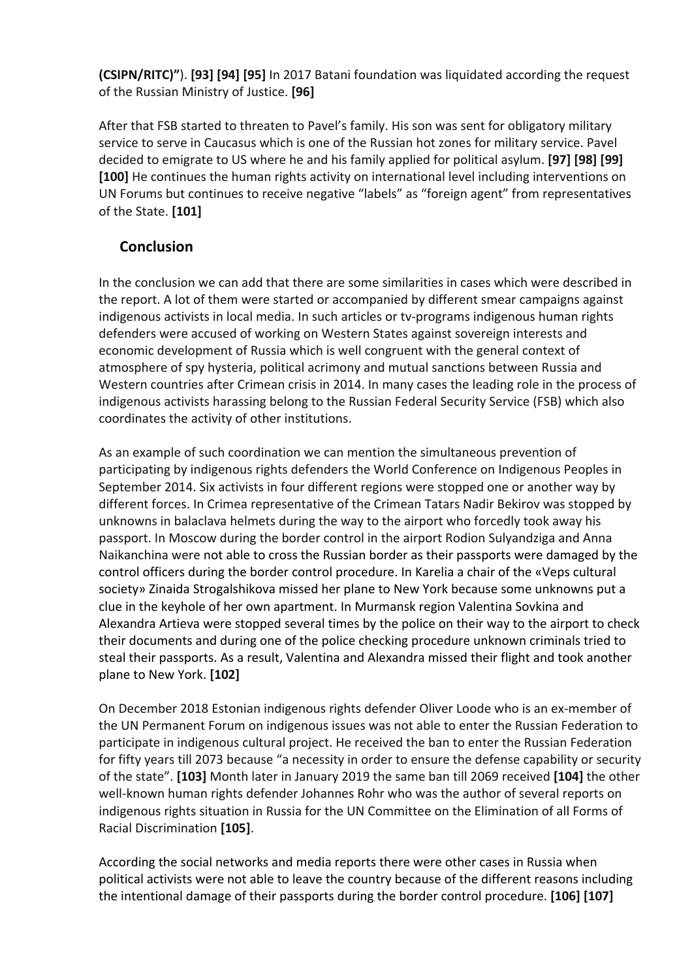**(CSIPN/RITC)"**). **[93] [94] [95]** In 2017 Batani foundation was liquidated according the request of the Russian Ministry of Justice. **[96]**

After that FSB started to threaten to Pavel's family. His son was sent for obligatory military service to serve in Caucasus which is one of the Russian hot zones for military service. Pavel decided to emigrate to US where he and his family applied for political asylum. **[97] [98] [99] [100]** He continues the human rights activity on international level including interventions on UN Forums but continues to receive negative "labels" as "foreign agent" from representatives of the State. **[101]**

### **Conclusion**

In the conclusion we can add that there are some similarities in cases which were described in the report. A lot of them were started or accompanied by different smear campaigns against indigenous activists in local media. In such articles or tv-programs indigenous human rights defenders were accused of working on Western States against sovereign interests and economic development of Russia which is well congruent with the general context of atmosphere of spy hysteria, political acrimony and mutual sanctions between Russia and Western countries after Crimean crisis in 2014. In many cases the leading role in the process of indigenous activists harassing belong to the Russian Federal Security Service (FSB) which also coordinates the activity of other institutions.

As an example of such coordination we can mention the simultaneous prevention of participating by indigenous rights defenders the World Conference on Indigenous Peoples in September 2014. Six activists in four different regions were stopped one or another way by different forces. In Crimea representative of the Crimean Tatars Nadir Bekirov was stopped by unknowns in balaclava helmets during the way to the airport who forcedly took away his passport. In Moscow during the border control in the airport Rodion Sulyandziga and Anna Naikanchina were not able to cross the Russian border as their passports were damaged by the control officers during the border control procedure. In Karelia a chair of the «Veps cultural society» Zinaida Strogalshikova missed her plane to New York because some unknowns put a clue in the keyhole of her own apartment. In Murmansk region Valentina Sovkina and Alexandra Artieva were stopped several times by the police on their way to the airport to check their documents and during one of the police checking procedure unknown criminals tried to steal their passports. As a result, Valentina and Alexandra missed their flight and took another plane to New York. **[102]**

On December 2018 Estonian indigenous rights defender Oliver Loode who is an ex-member of the UN Permanent Forum on indigenous issues was not able to enter the Russian Federation to participate in indigenous cultural project. He received the ban to enter the Russian Federation for fifty years till 2073 because "a necessity in order to ensure the defense capability or security of the state". **[103]** Month later in January 2019 the same ban till 2069 received **[104]** the other well-known human rights defender Johannes Rohr who was the author of several reports on indigenous rights situation in Russia for the UN Committee on the Elimination of all Forms of Racial Discrimination **[105]**.

According the social networks and media reports there were other cases in Russia when political activists were not able to leave the country because of the different reasons including the intentional damage of their passports during the border control procedure. **[106] [107]**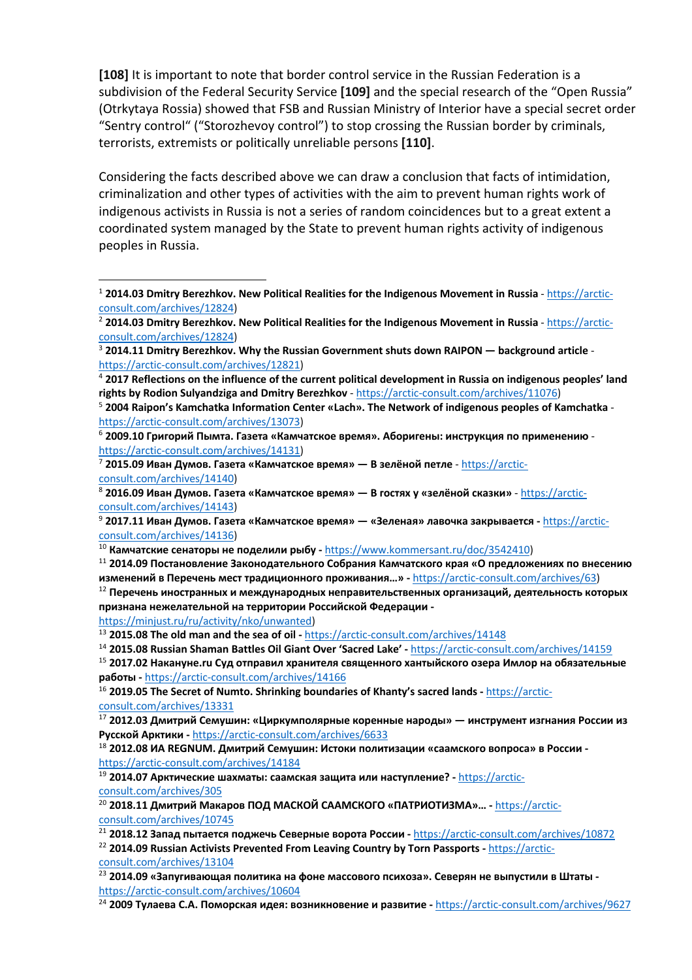**[108]** It is important to note that border control service in the Russian Federation is a subdivision of the Federal Security Service **[109]** and the special research of the "Open Russia" (Otrkytaya Rossia) showed that FSB and Russian Ministry of Interior have a special secret order "Sentry control" ("Storozhevoy control") to stop crossing the Russian border by criminals, terrorists, extremists or politically unreliable persons **[110]**.

Considering the facts described above we can draw a conclusion that facts of intimidation, criminalization and other types of activities with the aim to prevent human rights work of indigenous activists in Russia is not a series of random coincidences but to a great extent a coordinated system managed by the State to prevent human rights activity of indigenous peoples in Russia.

<sup>2</sup> 2014.03 Dmitry Berezhkov. New Political Realities for the Indigenous Movement in Russia - https://arcticconsult.com/archives/12824)

<sup>11</sup> **2014.09 Постановление Законодательного Собрания Камчатского края «О предложениях по внесению изменений в Перечень мест традиционного проживания…» -** https://arctic-consult.com/archives/63)

<sup>12</sup> **Перечень иностранных и международных неправительственных организаций, деятельность которых признана нежелательной на территории Российской Федерации -**

https://minjust.ru/ru/activity/nko/unwanted)

 $\overline{a}$ 

<sup>13</sup> **2015.08 The old man and the sea of oil -** https://arctic-consult.com/archives/14148

```
14 2015.08 Russian Shaman Battles Oil Giant Over 'Sacred Lake' - https://arctic-consult.com/archives/14159
```

```
15 2017.02 Накануне.ru Суд отправил хранителя священного хантыйского озера Имлор на обязательные 
работы - https://arctic-consult.com/archives/14166
```
<sup>16</sup> **2019.05 The Secret of Numto. Shrinking boundaries of Khanty's sacred lands -** https://arcticconsult.com/archives/13331

<sup>19</sup> **2014.07 Арктические шахматы: саамская защита или наступление? -** https://arcticconsult.com/archives/305

<sup>20</sup> **2018.11 Дмитрий Макаров ПОД МАСКОЙ СААМСКОГО «ПАТРИОТИЗМА»… -** https://arcticconsult.com/archives/10745

```
21 2018.12 Запад пытается поджечь Северные ворота России - https://arctic-consult.com/archives/10872
```

```
22 2014.09 Russian Activists Prevented From Leaving Country by Torn Passports - https://arctic-
consult.com/archives/13104
```

```
23 2014.09 «Запугивающая политика на фоне массового психоза». Северян не выпустили в Штаты -
https://arctic-consult.com/archives/10604
```
<sup>24</sup> **2009 Тулаева С.А. Поморская идея: возникновение и развитие -** https://arctic-consult.com/archives/9627

<sup>1</sup> **2014.03 Dmitry Berezhkov. New Political Realities for the Indigenous Movement in Russia** - https://arcticconsult.com/archives/12824)

<sup>3</sup> **2014.11 Dmitry Berezhkov. Why the Russian Government shuts down RAIPON — background article**  https://arctic-consult.com/archives/12821)

<sup>4</sup> **2017 Reflections on the influence of the current political development in Russia on indigenous peoples' land rights by Rodion Sulyandziga and Dmitry Berezhkov** - https://arctic-consult.com/archives/11076)

<sup>5</sup> **2004 Raipon's Kamchatka Information Center «Lach». The Network of indigenous peoples of Kamchatka** https://arctic-consult.com/archives/13073)

<sup>6</sup> **2009.10 Григорий Пымта. Газета «Камчатское время». Аборигены: инструкция по применению**  https://arctic-consult.com/archives/14131)

<sup>7</sup> **2015.09 Иван Думов. Газета «Камчатское время» — В зелёной петле** - https://arcticconsult.com/archives/14140)

<sup>8</sup> **2016.09 Иван Думов. Газета «Камчатское время» — В гостях у «зелёной сказки»** - https://arcticconsult.com/archives/14143)

<sup>9</sup> **2017.11 Иван Думов. Газета «Камчатское время» — «Зеленая» лавочка закрывается -** https://arcticconsult.com/archives/14136)

<sup>10</sup> **Камчатские сенаторы не поделили рыбу -** https://www.kommersant.ru/doc/3542410)

<sup>17</sup> **2012.03 Дмитрий Семушин: «Циркумполярные коренные народы» — инструмент изгнания России из Русской Арктики -** https://arctic-consult.com/archives/6633

<sup>18</sup> **2012.08 ИА REGNUM. Дмитрий Семушин: Истоки политизации «саамского вопроса» в России**  https://arctic-consult.com/archives/14184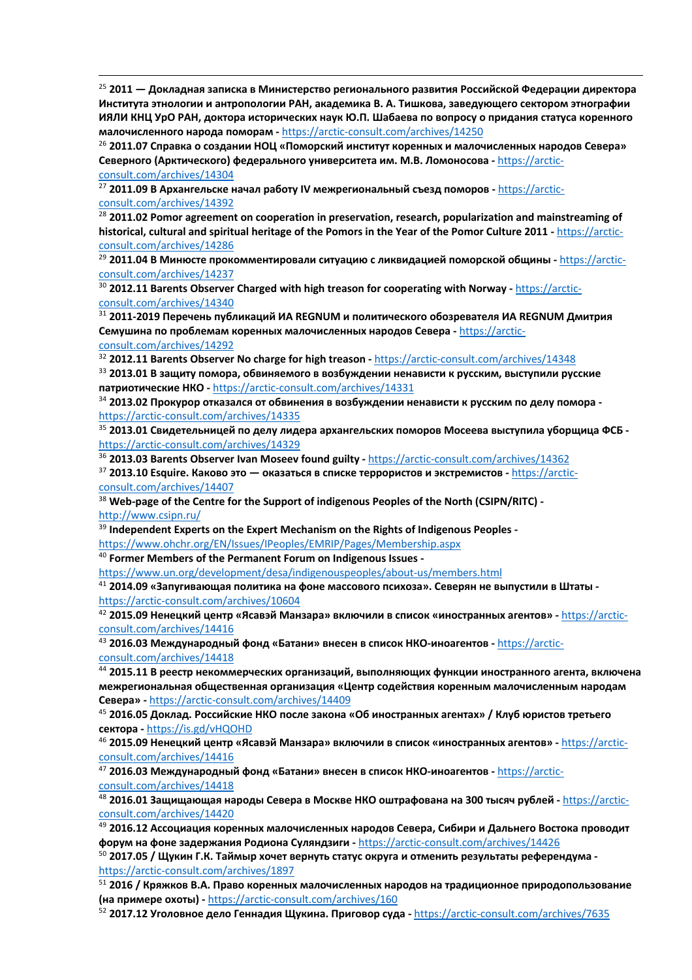<sup>25</sup> **2011 — Докладная записка в Министерство регионального развития Российской Федерации директора Института этнологии и антропологии РАН, академика В. А. Тишкова, заведующего сектором этнографии ИЯЛИ КНЦ УрО РАН, доктора исторических наук Ю.П. Шабаева по вопросу о придания статуса коренного малочисленного народа поморам -** https://arctic-consult.com/archives/14250

<sup>26</sup> **2011.07 Справка о создании НОЦ «Поморский институт коренных и малочисленных народов Севера» Северного (Арктического) федерального университета им. М.В. Ломоносова -** https://arcticconsult.com/archives/14304

<sup>27</sup> **2011.09 В Архангельске начал работу IV межрегиональный съезд поморов -** https://arcticconsult.com/archives/14392

 $\overline{a}$ 

<sup>28</sup> **2011.02 Pomor agreement on cooperation in preservation, research, popularization and mainstreaming of historical, cultural and spiritual heritage of the Pomors in the Year of the Pomor Culture 2011 -** https://arcticconsult.com/archives/14286

<sup>29</sup> **2011.04 В Минюсте прокомментировали ситуацию с ликвидацией поморской общины -** https://arcticconsult.com/archives/14237

<sup>30</sup> **2012.11 Barents Observer Charged with high treason for cooperating with Norway -** https://arcticconsult.com/archives/14340

<sup>31</sup> **2011-2019 Перечень публикаций ИА REGNUM и политического обозревателя ИА REGNUM Дмитрия Семушина по проблемам коренных малочисленных народов Севера -** https://arcticconsult.com/archives/14292

<sup>32</sup> **2012.11 Barents Observer No charge for high treason -** https://arctic-consult.com/archives/14348

<sup>33</sup> **2013.01 В защиту помора, обвиняемого в возбуждении ненависти к русским, выступили русские патриотические НКО -** https://arctic-consult.com/archives/14331

<sup>34</sup> **2013.02 Прокурор отказался от обвинения в возбуждении ненависти к русским по делу помора**  https://arctic-consult.com/archives/14335

<sup>35</sup> **2013.01 Свидетельницей по делу лидера архангельских поморов Мосеева выступила уборщица ФСБ**  https://arctic-consult.com/archives/14329 36 **2013.03 Barents Observer Ivan Moseev found guilty -** https://arctic-consult.com/archives/14362

<sup>37</sup> **2013.10 Esquire. Каково это — оказаться в списке террористов и экстремистов -** https://arcticconsult.com/archives/14407

<sup>38</sup> **Web-page of the Centre for the Support of indigenous Peoples of the North (CSIPN/RITC)**  http://www.csipn.ru/

<sup>39</sup> **Independent Experts on the Expert Mechanism on the Rights of Indigenous Peoples -**

https://www.ohchr.org/EN/Issues/IPeoples/EMRIP/Pages/Membership.aspx

<sup>40</sup> **Former Members of the Permanent Forum on Indigenous Issues -**

https://www.un.org/development/desa/indigenouspeoples/about-us/members.html

<sup>41</sup> **2014.09 «Запугивающая политика на фоне массового психоза». Северян не выпустили в Штаты**  https://arctic-consult.com/archives/10604

<sup>42</sup> **2015.09 Ненецкий центр «Ясавэй Манзара» включили в список «иностранных агентов» -** https://arcticconsult.com/archives/14416

<sup>43</sup> **2016.03 Международный фонд «Батани» внесен в список НКО-иноагентов -** https://arcticconsult.com/archives/14418

<sup>44</sup> **2015.11 В реестр некоммерческих организаций, выполняющих функции иностранного агента, включена межрегиональная общественная организация «Центр содействия коренным малочисленным народам Севера» -** https://arctic-consult.com/archives/14409

<sup>45</sup> **2016.05 Доклад. Российские НКО после закона «Об иностранных агентах» / Клуб юристов третьего сектора -** https://is.gd/vHQOHD

<sup>46</sup> **2015.09 Ненецкий центр «Ясавэй Манзара» включили в список «иностранных агентов» -** https://arcticconsult.com/archives/14416

<sup>47</sup> **2016.03 Международный фонд «Батани» внесен в список НКО-иноагентов -** https://arcticconsult.com/archives/14418

<sup>48</sup> **2016.01 Защищающая народы Севера в Москве НКО оштрафована на 300 тысяч рублей -** https://arcticconsult.com/archives/14420

<sup>49</sup> **2016.12 Ассоциация коренных малочисленных народов Севера, Сибири и Дальнего Востока проводит форум на фоне задержания Родиона Суляндзиги -** https://arctic-consult.com/archives/14426

<sup>50</sup> **2017.05 / Щукин Г.К. Таймыр хочет вернуть статус округа и отменить результаты референдума**  https://arctic-consult.com/archives/1897

<sup>51</sup> **2016 / Кряжков В.А. Право коренных малочисленных народов на традиционное природопользование (на примере охоты) -** https://arctic-consult.com/archives/160

<sup>52</sup> **2017.12 Уголовное дело Геннадия Щукина. Приговор суда -** https://arctic-consult.com/archives/7635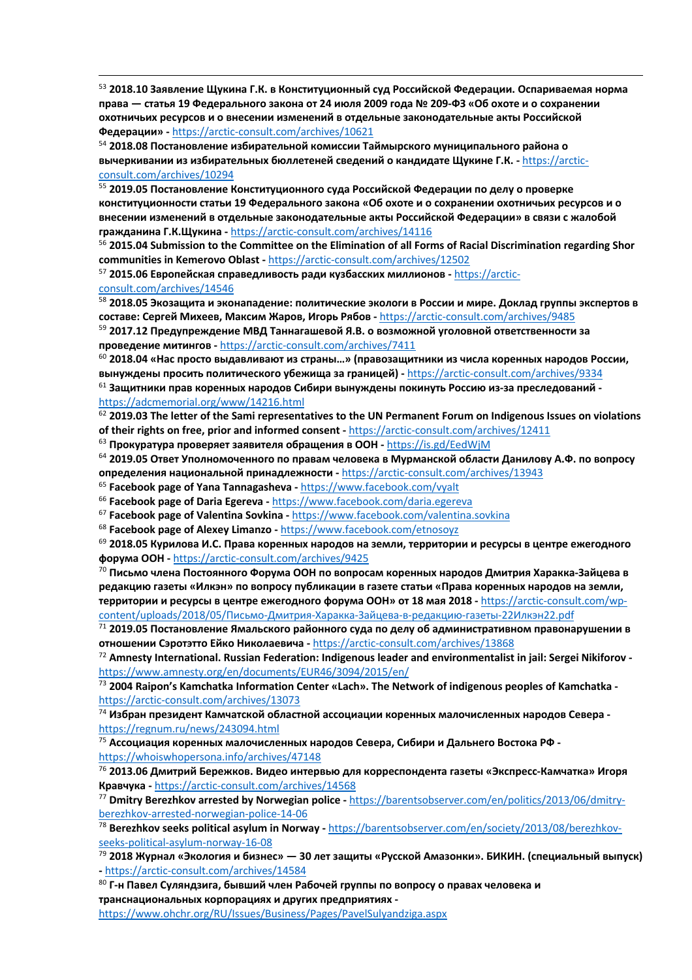<sup>53</sup> **2018.10 Заявление Щукина Г.К. в Конституционный суд Российской Федерации. Оспариваемая норма права — статья 19 Федерального закона от 24 июля 2009 года № 209-ФЗ «Об охоте и о сохранении охотничьих ресурсов и о внесении изменений в отдельные законодательные акты Российской Федерации» -** https://arctic-consult.com/archives/10621

<sup>54</sup> **2018.08 Постановление избирательной комиссии Таймырского муниципального района о вычеркивании из избирательных бюллетеней сведений о кандидате Щукине Г.К. -** https://arcticconsult.com/archives/10294

<sup>55</sup> **2019.05 Постановление Конституционного суда Российской Федерации по делу о проверке конституционности статьи 19 Федерального закона «Об охоте и о сохранении охотничьих ресурсов и о внесении изменений в отдельные законодательные акты Российской Федерации» в связи с жалобой гражданина Г.К.Щукина -** https://arctic-consult.com/archives/14116

<sup>56</sup> **2015.04 Submission to the Committee on the Elimination of all Forms of Racial Discrimination regarding Shor communities in Kemerovo Oblast -** https://arctic-consult.com/archives/12502

<sup>57</sup> **2015.06 Европейская справедливость ради кузбасских миллионов -** https://arcticconsult.com/archives/14546

 $\overline{a}$ 

<sup>58</sup> **2018.05 Экозащита и эконападение: политические экологи в России и мире. Доклад группы экспертов в составе: Сергей Михеев, Максим Жаров, Игорь Рябов -** https://arctic-consult.com/archives/9485

<sup>59</sup> **2017.12 Предупреждение МВД Таннагашевой Я.В. о возможной уголовной ответственности за проведение митингов -** https://arctic-consult.com/archives/7411

<sup>60</sup> **2018.04 «Нас просто выдавливают из страны…» (правозащитники из числа коренных народов России, вынуждены просить политического убежища за границей) -** https://arctic-consult.com/archives/9334

<sup>61</sup> **Защитники прав коренных народов Сибири вынуждены покинуть Россию из-за преследований**  https://adcmemorial.org/www/14216.html

<sup>62</sup> **2019.03 The letter of the Sami representatives to the UN Permanent Forum on Indigenous Issues on violations of their rights on free, prior and informed consent -** https://arctic-consult.com/archives/12411

<sup>63</sup> **Прокуратура проверяет заявителя обращения в ООН -** https://is.gd/EedWjM

<sup>64</sup> **2019.05 Ответ Уполномоченного по правам человека в Мурманской области Данилову А.Ф. по вопросу определения национальной принадлежности -** https://arctic-consult.com/archives/13943

<sup>65</sup> **Facebook page of Yana Tannagasheva -** https://www.facebook.com/vyalt

<sup>66</sup> Facebook page of Daria Egereva - https://www.facebook.com/daria.egereva<br><sup>67</sup> Facebook page of Valentina Sovkina - https://www.facebook.com/valentina.sovkina<br><sup>68</sup> Facebook page of Alexev Limanzo - https://www.facebook.

<sup>69</sup> **2018.05 Курилова И.С. Права коренных народов на земли, территории и ресурсы в центре ежегодного форума ООН -** https://arctic-consult.com/archives/9425

<sup>70</sup> **Письмо члена Постоянного Форума ООН по вопросам коренных народов Дмитрия Харакка-Зайцева в редакцию газеты «Илкэн» по вопросу публикации в газете статьи «Права коренных народов на земли, территории и ресурсы в центре ежегодного форума ООН» от 18 мая 2018 -** https://arctic-consult.com/wp-

content/uploads/2018/05/Письмо-Дмитрия-Харакка-Зайцева-в-редакцию-газеты-22Илкэн22.pdf<br><sup>71</sup> 2019.05 Постановление Ямальского районного суда по делу об административном правонарушении в **отношении Сэротэтто Ейко Николаевича -** https://arctic-consult.com/archives/13868

<sup>72</sup> **Amnesty International. Russian Federation: Indigenous leader and environmentalist in jail: Sergei Nikiforov**  https://www.amnesty.org/en/documents/EUR46/3094/2015/en/<br><sup>73</sup> 2004 Raipon's Kamchatka Information Center «Lach». The Network of indigenous peoples of Kamchatka -

https://arctic-consult.com/archives/13073

<sup>74</sup> **Избран президент Камчатской областной ассоциации коренных малочисленных народов Севера**  https://regnum.ru/news/243094.html

<sup>75</sup> **Ассоциация коренных малочисленных народов Севера, Сибири и Дальнего Востока РФ**  https://whoiswhopersona.info/archives/47148

<sup>76</sup> **2013.06 Дмитрий Бережков. Видео интервью для корреспондента газеты «Экспресс-Камчатка» Игоря Кравчука -** https://arctic-consult.com/archives/14568

<sup>77</sup> **Dmitry Berezhkov arrested by Norwegian police -** https://barentsobserver.com/en/politics/2013/06/dmitryberezhkov-arrested-norwegian-police-14-06

<sup>78</sup> **Berezhkov seeks political asylum in Norway -** https://barentsobserver.com/en/society/2013/08/berezhkovseeks-political-asylum-norway-16-08

<sup>79</sup> **2018 Журнал «Экология и бизнес» — 30 лет защиты «Русской Амазонки». БИКИН. (специальный выпуск) -** https://arctic-consult.com/archives/14584

<sup>80</sup> **Г-н Павел Суляндзига, бывший член Рабочей группы по вопросу о правах человека и транснациональных корпорациях и других предприятиях -**

https://www.ohchr.org/RU/Issues/Business/Pages/PavelSulyandziga.aspx